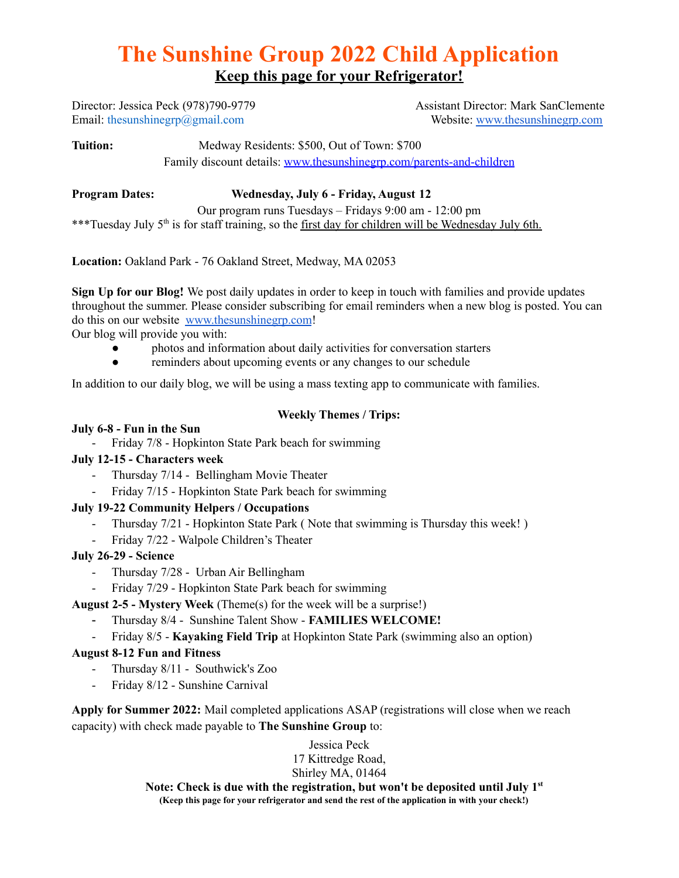# **The Sunshine Group 2022 Child Application Keep this page for your Refrigerator!**

Director: Jessica Peck (978)790-9779 Assistant Director: Mark SanClemente Email: thesunshinegrp@gmail.com Website: [www.thesunshinegrp.com](http://www.thesunshinegrp.com)

**Tuition:** Medway Residents: \$500, Out of Town: \$700 Family discount details: [www.thesunshinegrp.com/parents-and-children](http://www.thesunshinegrp.com/parents-and-children)

## **Program Dates: Wednesday, July 6 - Friday, August 12**

Our program runs Tuesdays – Fridays 9:00 am - 12:00 pm \*\*\*Tuesday July 5<sup>th</sup> is for staff training, so the <u>first day for children will be Wednesday July 6th.</u>

**Location:** Oakland Park - 76 Oakland Street, Medway, MA 02053

**Sign Up for our Blog!** We post daily updates in order to keep in touch with families and provide updates throughout the summer. Please consider subscribing for email reminders when a new blog is posted. You can do this on our website [www.thesunshinegrp.com](http://www.thesunshinegrp.com)!

Our blog will provide you with:

- photos and information about daily activities for conversation starters
- reminders about upcoming events or any changes to our schedule

In addition to our daily blog, we will be using a mass texting app to communicate with families.

#### **Weekly Themes / Trips:**

#### **July 6-8 - Fun in the Sun**

- Friday 7/8 - Hopkinton State Park beach for swimming

## **July 12-15 - Characters week**

- Thursday 7/14 Bellingham Movie Theater
- Friday 7/15 Hopkinton State Park beach for swimming

## **July 19-22 Community Helpers / Occupations**

- Thursday 7/21 Hopkinton State Park ( Note that swimming is Thursday this week! )
- Friday 7/22 Walpole Children's Theater

#### **July 26-29 - Science**

- Thursday 7/28 Urban Air Bellingham
- Friday 7/29 Hopkinton State Park beach for swimming

## **August 2-5 - Mystery Week** (Theme(s) for the week will be a surprise!)

- Thursday 8/4 Sunshine Talent Show **FAMILIES WELCOME!**
- Friday 8/5 **Kayaking Field Trip** at Hopkinton State Park (swimming also an option)

## **August 8-12 Fun and Fitness**

- Thursday 8/11 Southwick's Zoo
- Friday 8/12 Sunshine Carnival

**Apply for Summer 2022:** Mail completed applications ASAP (registrations will close when we reach capacity) with check made payable to **The Sunshine Group** to:

> Jessica Peck 17 Kittredge Road, Shirley MA, 01464

**Note: Check is due with the registration, but won't be deposited until July 1 st (Keep this page for your refrigerator and send the rest of the application in with your check!)**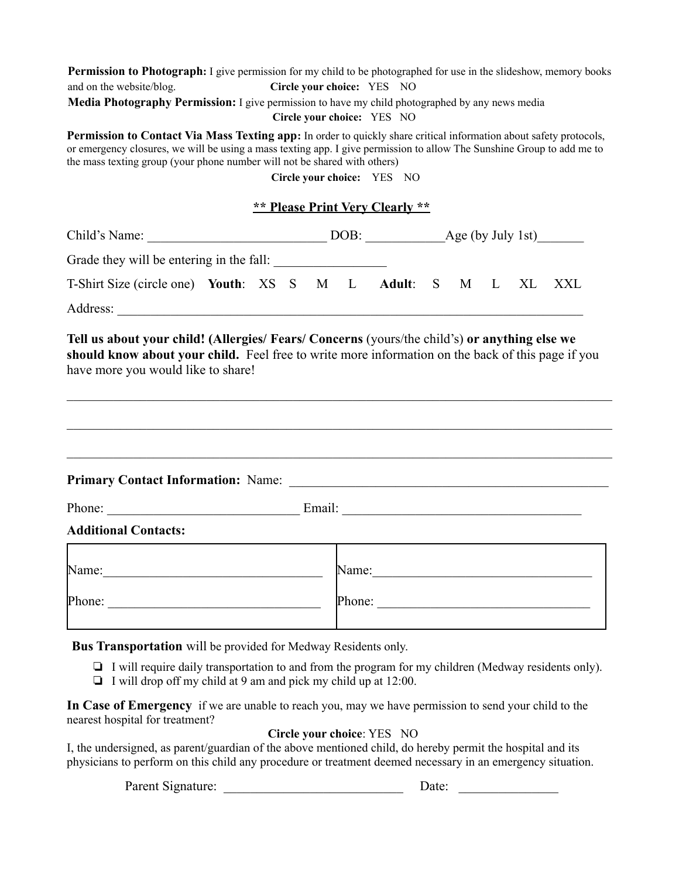| <b>Permission to Photograph:</b> I give permission for my child to be photographed for use in the slideshow, memory books                                                                                                                                                                                                        |  |  |  |  |                                        |  |  |  |  |  |  |
|----------------------------------------------------------------------------------------------------------------------------------------------------------------------------------------------------------------------------------------------------------------------------------------------------------------------------------|--|--|--|--|----------------------------------------|--|--|--|--|--|--|
| and on the website/blog.<br>Media Photography Permission: I give permission to have my child photographed by any news media                                                                                                                                                                                                      |  |  |  |  | Circle your choice: YES NO             |  |  |  |  |  |  |
|                                                                                                                                                                                                                                                                                                                                  |  |  |  |  | Circle your choice: YES NO             |  |  |  |  |  |  |
| <b>Permission to Contact Via Mass Texting app:</b> In order to quickly share critical information about safety protocols,<br>or emergency closures, we will be using a mass texting app. I give permission to allow The Sunshine Group to add me to<br>the mass texting group (your phone number will not be shared with others) |  |  |  |  | Circle your choice: YES NO             |  |  |  |  |  |  |
|                                                                                                                                                                                                                                                                                                                                  |  |  |  |  | <b>** Please Print Very Clearly **</b> |  |  |  |  |  |  |
|                                                                                                                                                                                                                                                                                                                                  |  |  |  |  |                                        |  |  |  |  |  |  |
|                                                                                                                                                                                                                                                                                                                                  |  |  |  |  |                                        |  |  |  |  |  |  |
| T-Shirt Size (circle one) Youth: XS S M L Adult: S M L XL XXL                                                                                                                                                                                                                                                                    |  |  |  |  |                                        |  |  |  |  |  |  |
|                                                                                                                                                                                                                                                                                                                                  |  |  |  |  |                                        |  |  |  |  |  |  |
|                                                                                                                                                                                                                                                                                                                                  |  |  |  |  |                                        |  |  |  |  |  |  |
|                                                                                                                                                                                                                                                                                                                                  |  |  |  |  |                                        |  |  |  |  |  |  |
|                                                                                                                                                                                                                                                                                                                                  |  |  |  |  |                                        |  |  |  |  |  |  |
| <b>Additional Contacts:</b>                                                                                                                                                                                                                                                                                                      |  |  |  |  |                                        |  |  |  |  |  |  |
|                                                                                                                                                                                                                                                                                                                                  |  |  |  |  | Name: Name:                            |  |  |  |  |  |  |
| Phone: $\qquad \qquad$                                                                                                                                                                                                                                                                                                           |  |  |  |  | Phone:                                 |  |  |  |  |  |  |
| Bus Transportation will be provided for Medway Residents only.<br>$\Box$ I will require daily transportation to and from the program for my children (Medway residents only).                                                                                                                                                    |  |  |  |  |                                        |  |  |  |  |  |  |

❏ I will drop off my child at 9 am and pick my child up at 12:00.

**In Case of Emergency** if we are unable to reach you, may we have permission to send your child to the nearest hospital for treatment?

**Circle your choice**: YES NO

I, the undersigned, as parent/guardian of the above mentioned child, do hereby permit the hospital and its physicians to perform on this child any procedure or treatment deemed necessary in an emergency situation.

Parent Signature: \_\_\_\_\_\_\_\_\_\_\_\_\_\_\_\_\_\_\_\_\_\_\_\_\_\_\_ Date: \_\_\_\_\_\_\_\_\_\_\_\_\_\_\_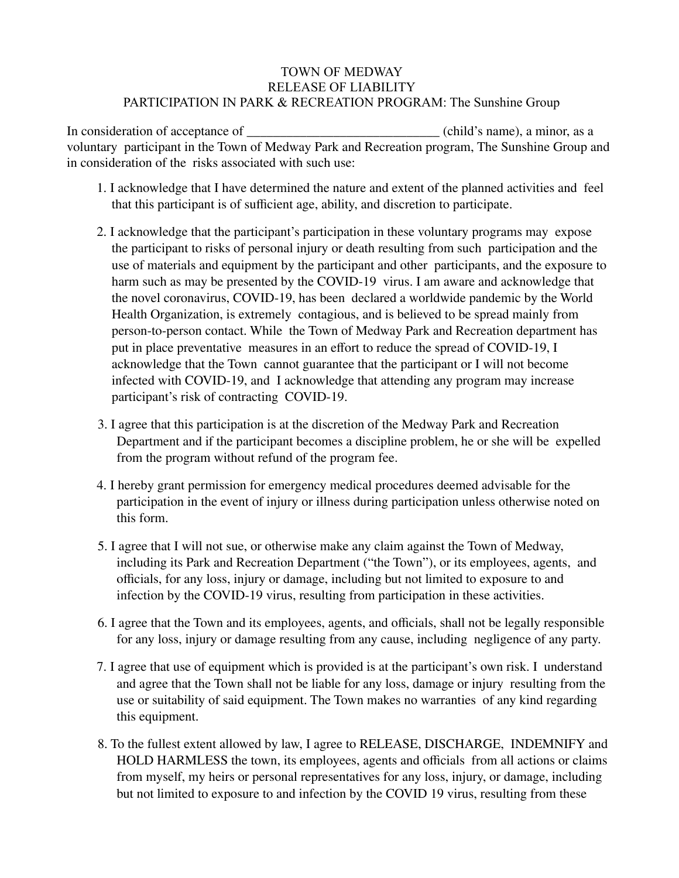#### TOWN OF MEDWAY RELEASE OF LIABILITY PARTICIPATION IN PARK & RECREATION PROGRAM: The Sunshine Group

In consideration of acceptance of  $\qquad \qquad$  (child's name), a minor, as a voluntary participant in the Town of Medway Park and Recreation program, The Sunshine Group and in consideration of the risks associated with such use:

- 1. I acknowledge that I have determined the nature and extent of the planned activities and feel that this participant is of sufficient age, ability, and discretion to participate.
- 2. I acknowledge that the participant's participation in these voluntary programs may expose the participant to risks of personal injury or death resulting from such participation and the use of materials and equipment by the participant and other participants, and the exposure to harm such as may be presented by the COVID-19 virus. I am aware and acknowledge that the novel coronavirus, COVID-19, has been declared a worldwide pandemic by the World Health Organization, is extremely contagious, and is believed to be spread mainly from person-to-person contact. While the Town of Medway Park and Recreation department has put in place preventative measures in an effort to reduce the spread of COVID-19, I acknowledge that the Town cannot guarantee that the participant or I will not become infected with COVID-19, and I acknowledge that attending any program may increase participant's risk of contracting COVID-19.
- 3. I agree that this participation is at the discretion of the Medway Park and Recreation Department and if the participant becomes a discipline problem, he or she will be expelled from the program without refund of the program fee.
- 4. I hereby grant permission for emergency medical procedures deemed advisable for the participation in the event of injury or illness during participation unless otherwise noted on this form.
- 5. I agree that I will not sue, or otherwise make any claim against the Town of Medway, including its Park and Recreation Department ("the Town"), or its employees, agents, and officials, for any loss, injury or damage, including but not limited to exposure to and infection by the COVID-19 virus, resulting from participation in these activities.
- 6. I agree that the Town and its employees, agents, and officials, shall not be legally responsible for any loss, injury or damage resulting from any cause, including negligence of any party.
- 7. I agree that use of equipment which is provided is at the participant's own risk. I understand and agree that the Town shall not be liable for any loss, damage or injury resulting from the use or suitability of said equipment. The Town makes no warranties of any kind regarding this equipment.
- 8. To the fullest extent allowed by law, I agree to RELEASE, DISCHARGE, INDEMNIFY and HOLD HARMLESS the town, its employees, agents and officials from all actions or claims from myself, my heirs or personal representatives for any loss, injury, or damage, including but not limited to exposure to and infection by the COVID 19 virus, resulting from these